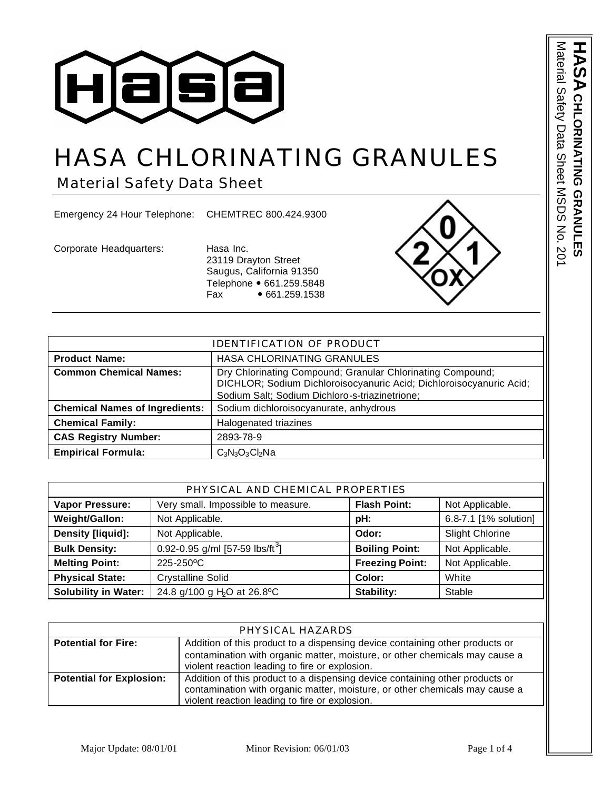

# HASA CHLORINATING GRANULES

Material Safety Data Sheet

Emergency 24 Hour Telephone: CHEMTREC 800.424.9300

Corporate Headquarters: Hasa Inc.

23119 Drayton Street Saugus, California 91350 Telephone • 661.259.5848  $Fax \rightarrow 661.259.1538$ 



| <b>IDENTIFICATION OF PRODUCT</b>      |                                                                                                                                                                                     |  |
|---------------------------------------|-------------------------------------------------------------------------------------------------------------------------------------------------------------------------------------|--|
| <b>Product Name:</b>                  | HASA CHLORINATING GRANULES                                                                                                                                                          |  |
| <b>Common Chemical Names:</b>         | Dry Chlorinating Compound; Granular Chlorinating Compound;<br>DICHLOR; Sodium Dichloroisocyanuric Acid; Dichloroisocyanuric Acid;<br>Sodium Salt; Sodium Dichloro-s-triazinetrione; |  |
| <b>Chemical Names of Ingredients:</b> | Sodium dichloroisocyanurate, anhydrous                                                                                                                                              |  |
| <b>Chemical Family:</b>               | Halogenated triazines                                                                                                                                                               |  |
| <b>CAS Registry Number:</b>           | 2893-78-9                                                                                                                                                                           |  |
| <b>Empirical Formula:</b>             | $C_3N_3O_3Cl_2Na$                                                                                                                                                                   |  |

| PHYSICAL AND CHEMICAL PROPERTIES |                                             |                        |                        |
|----------------------------------|---------------------------------------------|------------------------|------------------------|
| <b>Vapor Pressure:</b>           | Very small. Impossible to measure.          | <b>Flash Point:</b>    | Not Applicable.        |
| Weight/Gallon:                   | Not Applicable.                             | pH:                    | 6.8-7.1 [1% solution]  |
| <b>Density [liquid]:</b>         | Not Applicable.                             | Odor:                  | <b>Slight Chlorine</b> |
| <b>Bulk Density:</b>             | 0.92-0.95 g/ml [57-59 lbs/ft <sup>3</sup> ] | <b>Boiling Point:</b>  | Not Applicable.        |
| <b>Melting Point:</b>            | 225-250 °C                                  | <b>Freezing Point:</b> | Not Applicable.        |
| <b>Physical State:</b>           | <b>Crystalline Solid</b>                    | Color:                 | White                  |
| <b>Solubility in Water:</b>      | 24.8 g/100 g H <sub>2</sub> O at 26.8°C     | Stability:             | Stable                 |

| PHYSICAL HAZARDS                |                                                                              |
|---------------------------------|------------------------------------------------------------------------------|
| <b>Potential for Fire:</b>      | Addition of this product to a dispensing device containing other products or |
|                                 | contamination with organic matter, moisture, or other chemicals may cause a  |
|                                 | violent reaction leading to fire or explosion.                               |
| <b>Potential for Explosion:</b> | Addition of this product to a dispensing device containing other products or |
|                                 | contamination with organic matter, moisture, or other chemicals may cause a  |
|                                 | violent reaction leading to fire or explosion.                               |

Material Safety Data Sheet MSDS No. 201 Material Safety Data Sheet MSDS No. 201 **HASA CHLORINATING CHLORINATING GRANULES GRANULES**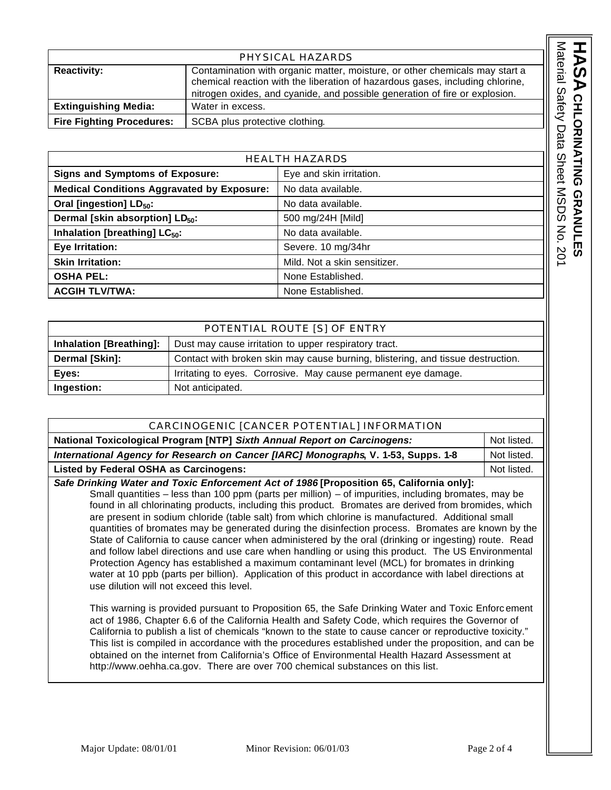| PHYSICAL HAZARDS                 |                                                                                                                                                                                                                                             |  |
|----------------------------------|---------------------------------------------------------------------------------------------------------------------------------------------------------------------------------------------------------------------------------------------|--|
| <b>Reactivity:</b>               | Contamination with organic matter, moisture, or other chemicals may start a<br>chemical reaction with the liberation of hazardous gases, including chlorine,<br>nitrogen oxides, and cyanide, and possible generation of fire or explosion. |  |
| <b>Extinguishing Media:</b>      | Water in excess.                                                                                                                                                                                                                            |  |
| <b>Fire Fighting Procedures:</b> | SCBA plus protective clothing.                                                                                                                                                                                                              |  |

| <b>HEALTH HAZARDS</b>                             |                              |
|---------------------------------------------------|------------------------------|
| <b>Signs and Symptoms of Exposure:</b>            | Eye and skin irritation.     |
| <b>Medical Conditions Aggravated by Exposure:</b> | No data available.           |
| Oral [ingestion] LD <sub>50</sub> :               | No data available.           |
| Dermal [skin absorption] LD <sub>50</sub> :       | 500 mg/24H [Mild]            |
| Inhalation [breathing] LC <sub>50</sub> :         | No data available.           |
| Eye Irritation:                                   | Severe. 10 mg/34hr           |
| <b>Skin Irritation:</b>                           | Mild. Not a skin sensitizer. |
| <b>OSHA PEL:</b>                                  | None Established.            |
| <b>ACGIH TLV/TWA:</b>                             | None Established.            |

| POTENTIAL ROUTE [S] OF ENTRY   |                                                                                 |  |
|--------------------------------|---------------------------------------------------------------------------------|--|
| <b>Inhalation [Breathing]:</b> | Dust may cause irritation to upper respiratory tract.                           |  |
| Dermal [Skin]:                 | Contact with broken skin may cause burning, blistering, and tissue destruction. |  |
| Eyes:                          | Irritating to eyes. Corrosive. May cause permanent eye damage.                  |  |
| Ingestion:                     | Not anticipated.                                                                |  |

| CARCINOGENIC [CANCER POTENTIAL] INFORMATION                                              |  |
|------------------------------------------------------------------------------------------|--|
| National Toxicological Program [NTP] Sixth Annual Report on Carcinogens:<br>Not listed.  |  |
| International Agency for Research on Cancer [IARC] Monographs, V. 1-53, Supps. 1-8       |  |
| <b>Listed by Federal OSHA as Carcinogens:</b>                                            |  |
| Safe Drinking Water and Toxic Enforcement Act of 1986 [Proposition 65, California only]: |  |

Small quantities – less than 100 ppm (parts per million) – of impurities, including bromates, may be found in all chlorinating products, including this product. Bromates are derived from bromides, which are present in sodium chloride (table salt) from which chlorine is manufactured. Additional small quantities of bromates may be generated during the disinfection process. Bromates are known by the State of California to cause cancer when administered by the oral (drinking or ingesting) route. Read and follow label directions and use care when handling or using this product. The US Environmental Protection Agency has established a maximum contaminant level (MCL) for bromates in drinking water at 10 ppb (parts per billion). Application of this product in accordance with label directions at use dilution will not exceed this level.

This warning is provided pursuant to Proposition 65, the Safe Drinking Water and Toxic Enforc ement act of 1986, Chapter 6.6 of the California Health and Safety Code, which requires the Governor of California to publish a list of chemicals "known to the state to cause cancer or reproductive toxicity." This list is compiled in accordance with the procedures established under the proposition, and can be obtained on the internet from California's Office of Environmental Health Hazard Assessment at http://www.oehha.ca.gov. There are over 700 chemical substances on this list.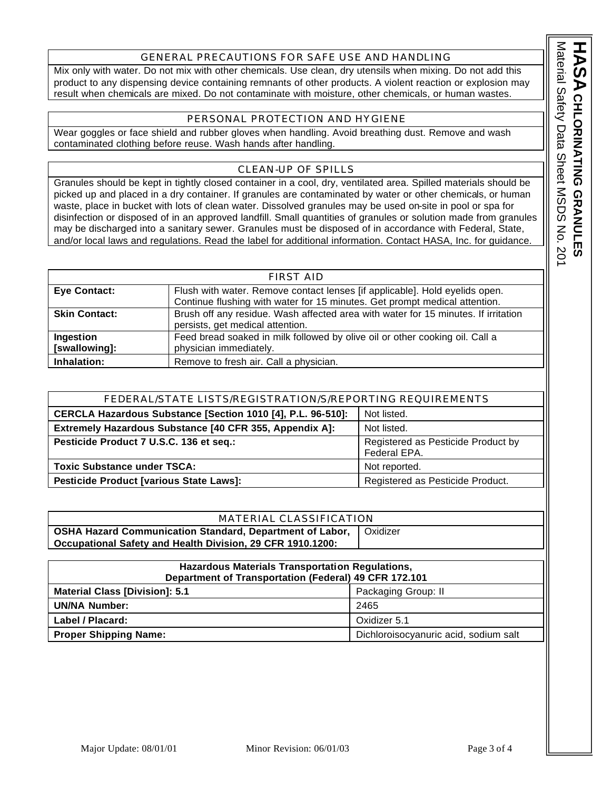## GENERAL PRECAUTIONS FOR SAFE USE AND HANDLING

Mix only with water. Do not mix with other chemicals. Use clean, dry utensils when mixing. Do not add this product to any dispensing device containing remnants of other products. A violent reaction or explosion may result when chemicals are mixed. Do not contaminate with moisture, other chemicals, or human wastes.

#### PERSONAL PROTECTION AND HYGIENE

Wear goggles or face shield and rubber gloves when handling. Avoid breathing dust. Remove and wash contaminated clothing before reuse. Wash hands after handling.

## CLEAN-UP OF SPILLS

Granules should be kept in tightly closed container in a cool, dry, ventilated area. Spilled materials should be picked up and placed in a dry container. If granules are contaminated by water or other chemicals, or human waste, place in bucket with lots of clean water. Dissolved granules may be used on-site in pool or spa for disinfection or disposed of in an approved landfill. Small quantities of granules or solution made from granules may be discharged into a sanitary sewer. Granules must be disposed of in accordance with Federal, State, and/or local laws and regulations. Read the label for additional information. Contact HASA, Inc. for guidance.

| <b>FIRST AID</b>           |                                                                                                                                                           |
|----------------------------|-----------------------------------------------------------------------------------------------------------------------------------------------------------|
| <b>Eye Contact:</b>        | Flush with water. Remove contact lenses [if applicable]. Hold eyelids open.<br>Continue flushing with water for 15 minutes. Get prompt medical attention. |
| <b>Skin Contact:</b>       | Brush off any residue. Wash affected area with water for 15 minutes. If irritation<br>persists, get medical attention.                                    |
| Ingestion<br>[swallowing]: | Feed bread soaked in milk followed by olive oil or other cooking oil. Call a<br>physician immediately.                                                    |
| Inhalation:                | Remove to fresh air. Call a physician.                                                                                                                    |

| FEDERAL/STATE LISTS/REGISTRATION/S/REPORTING REQUIREMENTS                  |                                                    |
|----------------------------------------------------------------------------|----------------------------------------------------|
| Not listed.<br>CERCLA Hazardous Substance [Section 1010 [4], P.L. 96-510]: |                                                    |
| Extremely Hazardous Substance [40 CFR 355, Appendix A]:<br>Not listed.     |                                                    |
| Pesticide Product 7 U.S.C. 136 et seq.:                                    | Registered as Pesticide Product by<br>Federal EPA. |
| <b>Toxic Substance under TSCA:</b>                                         | Not reported.                                      |
| Pesticide Product [various State Laws]:                                    | Registered as Pesticide Product.                   |

# MATERIAL CLASSIFICATION

| <b>OSHA Hazard Communication Standard, Department of Labor,   Oxidizer</b> |  |
|----------------------------------------------------------------------------|--|
| Occupational Safety and Health Division, 29 CFR 1910.1200:                 |  |
|                                                                            |  |

| Hazardous Materials Transportation Regulations,<br>Department of Transportation (Federal) 49 CFR 172.101 |                                       |  |
|----------------------------------------------------------------------------------------------------------|---------------------------------------|--|
| <b>Material Class [Division]: 5.1</b><br>Packaging Group: II                                             |                                       |  |
| <b>UN/NA Number:</b>                                                                                     | 2465                                  |  |
| Label / Placard:                                                                                         | Oxidizer 5.1                          |  |
| <b>Proper Shipping Name:</b>                                                                             | Dichloroisocyanuric acid, sodium salt |  |